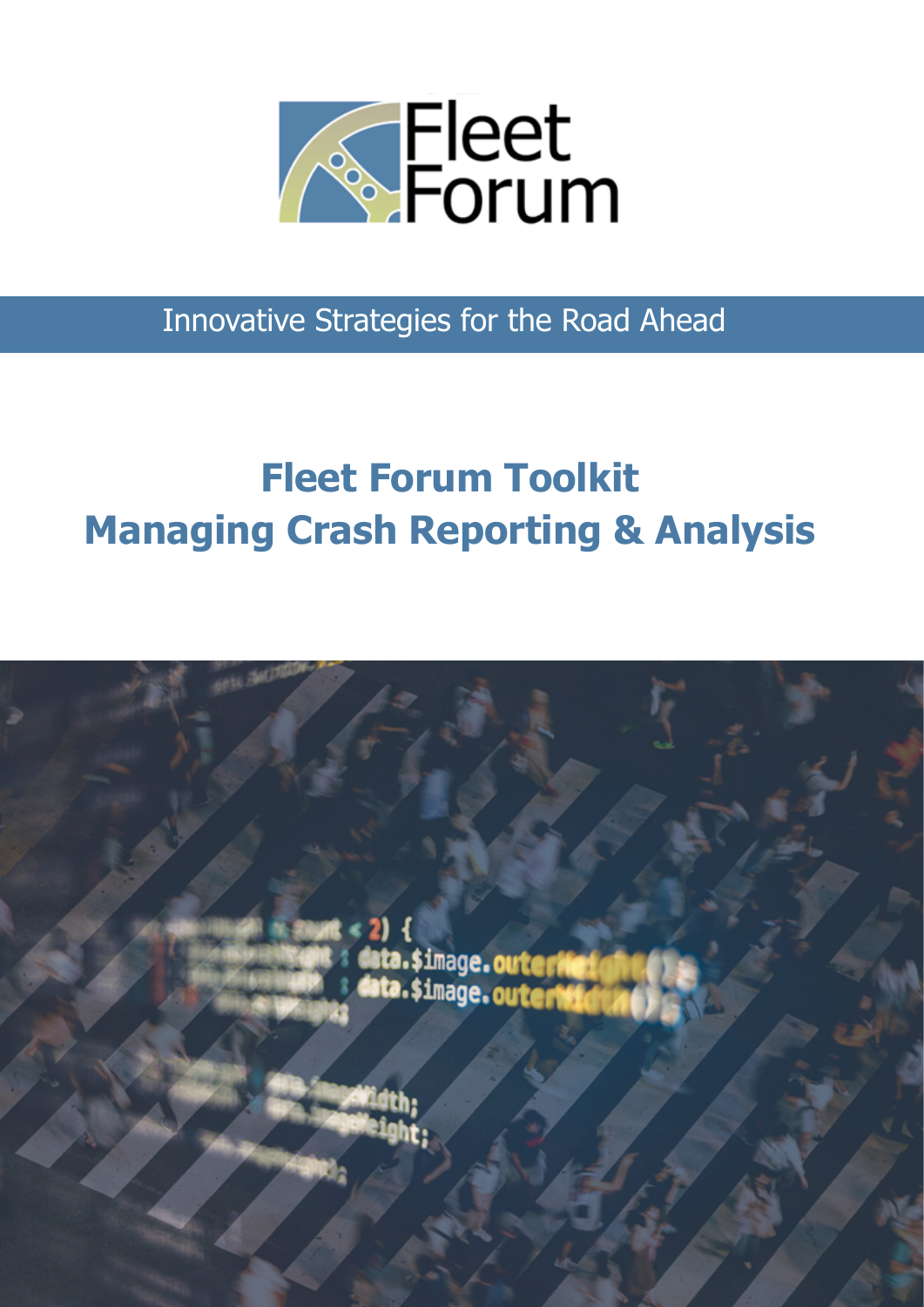

Innovative Strategies for the Road Ahead

# **Fleet Forum Toolkit Managing Crash Reporting & Analysis**

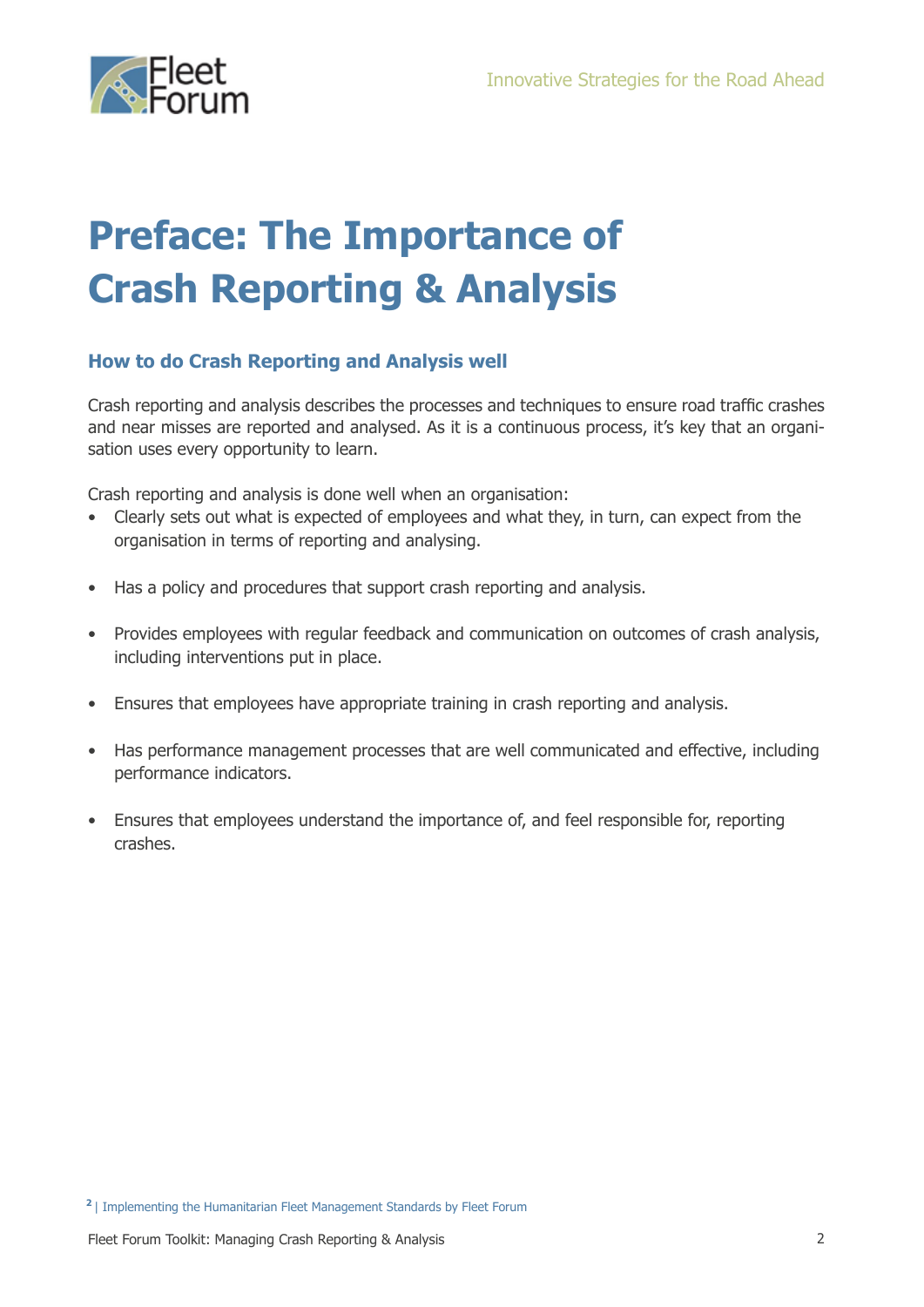

## **Preface: The Importance of Crash Reporting & Analysis**

### **How to do Crash Reporting and Analysis well**

Crash reporting and analysis describes the processes and techniques to ensure road traffic crashes and near misses are reported and analysed. As it is a continuous process, it's key that an organisation uses every opportunity to learn.

Crash reporting and analysis is done well when an organisation:

- Clearly sets out what is expected of employees and what they, in turn, can expect from the organisation in terms of reporting and analysing.
- Has a policy and procedures that support crash reporting and analysis.
- Provides employees with regular feedback and communication on outcomes of crash analysis, including interventions put in place.
- Ensures that employees have appropriate training in crash reporting and analysis.
- Has performance management processes that are well communicated and effective, including performance indicators.
- Ensures that employees understand the importance of, and feel responsible for, reporting crashes.

**<sup>2</sup>** | Implementing the Humanitarian Fleet Management Standards by Fleet Forum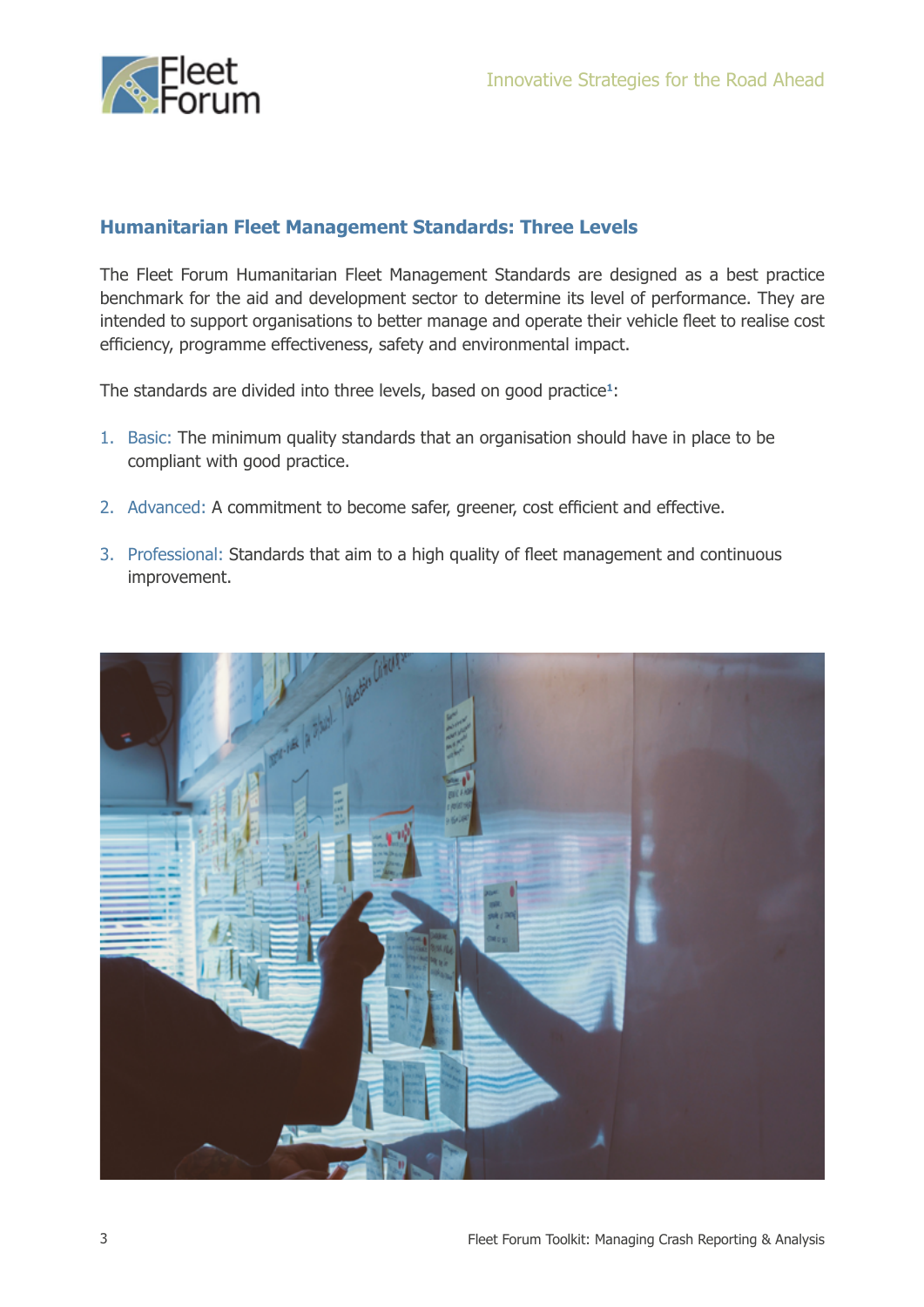

### **Humanitarian Fleet Management Standards: Three Levels**

The Fleet Forum Humanitarian Fleet Management Standards are designed as a best practice benchmark for the aid and development sector to determine its level of performance. They are intended to support organisations to better manage and operate their vehicle fleet to realise cost efficiency, programme effectiveness, safety and environmental impact.

The standards are divided into three levels, based on good practice**1**:

- 1. Basic: The minimum quality standards that an organisation should have in place to be compliant with good practice.
- 2. Advanced: A commitment to become safer, greener, cost efficient and effective.
- 3. Professional: Standards that aim to a high quality of fleet management and continuous improvement.